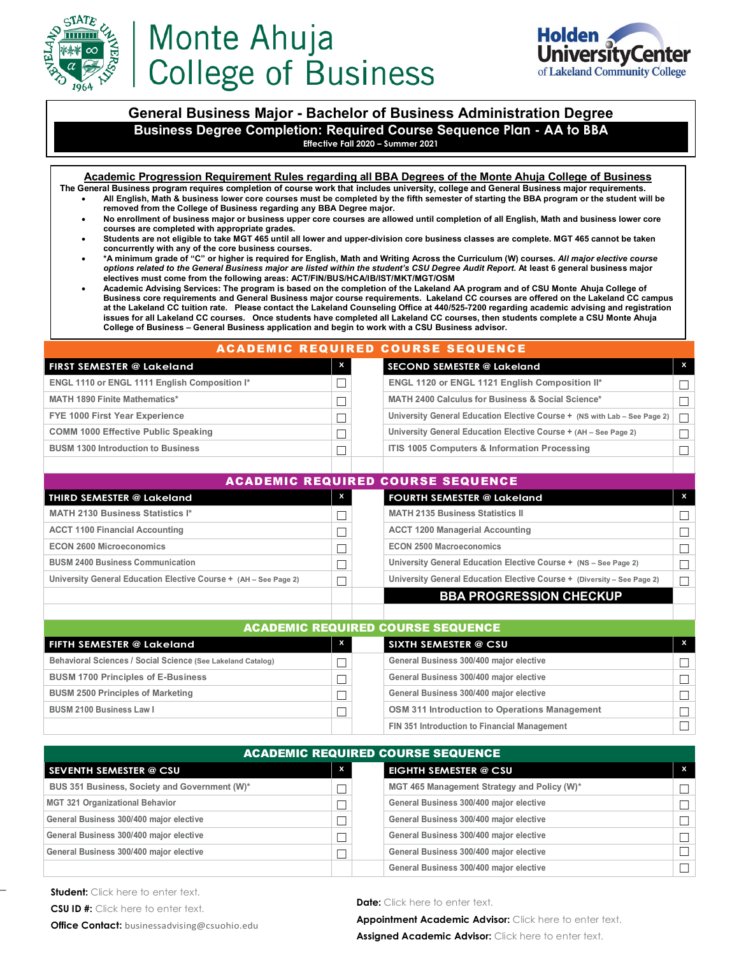

# Monte Ahuja **College of Business**



### **General Business Major - Bachelor of Business Administration Degree Business Degree Completion: Required Course Sequence Plan - AA to BBA Effective Fall 2020 – Summer 2021**

**Academic Progression Requirement Rules regarding all BBA Degrees of the Monte Ahuja College of Business The General Business program requires completion of course work that includes university, college and General Business major requirements.**

- **All English, Math & business lower core courses must be completed by the fifth semester of starting the BBA program or the student will be removed from the College of Business regarding any BBA Degree major.**
- **No enrollment of business major or business upper core courses are allowed until completion of all English, Math and business lower core courses are completed with appropriate grades.**
- **Students are not eligible to take MGT 465 until all lower and upper-division core business classes are complete. MGT 465 cannot be taken concurrently with any of the core business courses.**
- **\*A minimum grade of "C" or higher is required for English, Math and Writing Across the Curriculum (W) courses.** *All major elective course options related to the General Business major are listed within the student's CSU Degree Audit Report.* **At least 6 general business major electives must come from the following areas: ACT/FIN/BUS/HCA/IB/IST/MKT/MGT/OSM**
- **Academic Advising Services: The program is based on the completion of the Lakeland AA program and of CSU Monte Ahuja College of Business core requirements and General Business major course requirements. Lakeland CC courses are offered on the Lakeland CC campus at the Lakeland CC tuition rate. Please contact the Lakeland Counseling Office at 440/525-7200 regarding academic advising and registration issues for all Lakeland CC courses. Once students have completed all Lakeland CC courses, then students complete a CSU Monte Ahuja College of Business – General Business application and begin to work with a CSU Business advisor.**

## ACADEMIC REQUIRED COURSE SEQUENCE

| <b>FIRST SEMESTER @ Lakeland</b>              | x | SECOND SEMESTER @ Lakeland                                                       | $\mathsf{x}$ |
|-----------------------------------------------|---|----------------------------------------------------------------------------------|--------------|
| ENGL 1110 or ENGL 1111 English Composition I* |   | ENGL 1120 or ENGL 1121 English Composition II*                                   |              |
| <b>MATH 1890 Finite Mathematics*</b>          |   | MATH 2400 Calculus for Business & Social Science*                                |              |
| FYE 1000 First Year Experience                |   | University General Education Elective Course + (NS with Lab – See Page 2) $\Box$ |              |
| <b>COMM 1000 Effective Public Speaking</b>    |   | University General Education Elective Course + (AH - See Page 2)                 |              |
| <b>BUSM 1300 Introduction to Business</b>     |   | ITIS 1005 Computers & Information Processing                                     |              |

| <b>ACADEMIC REQUIRED COURSE SEQUENCE</b>                         |   |                                                                         |              |  |  |  |  |  |
|------------------------------------------------------------------|---|-------------------------------------------------------------------------|--------------|--|--|--|--|--|
| THIRD SEMESTER @ Lakeland                                        | X | <b>FOURTH SEMESTER @ Lakeland</b>                                       | $\mathbf{x}$ |  |  |  |  |  |
| <b>MATH 2130 Business Statistics I*</b>                          |   | <b>MATH 2135 Business Statistics II</b>                                 |              |  |  |  |  |  |
| <b>ACCT 1100 Financial Accounting</b>                            |   | <b>ACCT 1200 Managerial Accounting</b>                                  | ┑            |  |  |  |  |  |
| <b>ECON 2600 Microeconomics</b>                                  |   | <b>ECON 2500 Macroeconomics</b>                                         | ┑            |  |  |  |  |  |
| <b>BUSM 2400 Business Communication</b>                          |   | University General Education Elective Course + (NS - See Page 2)        | ┑            |  |  |  |  |  |
| University General Education Elective Course + (AH - See Page 2) |   | University General Education Elective Course + (Diversity - See Page 2) | $\Box$       |  |  |  |  |  |
|                                                                  |   | <b>BBA PROGRESSION CHECKUP</b>                                          |              |  |  |  |  |  |

| <b>ACADEMIC REQUIRED COURSE SEQUENCE</b>                    |              |  |                                               |  |  |  |  |  |  |
|-------------------------------------------------------------|--------------|--|-----------------------------------------------|--|--|--|--|--|--|
| FIFTH SEMESTER @ Lakeland                                   | $\mathsf{x}$ |  | <b>SIXTH SEMESTER @ CSU</b>                   |  |  |  |  |  |  |
| Behavioral Sciences / Social Science (See Lakeland Catalog) |              |  | General Business 300/400 major elective       |  |  |  |  |  |  |
| <b>BUSM 1700 Principles of E-Business</b>                   |              |  | General Business 300/400 major elective       |  |  |  |  |  |  |
| <b>BUSM 2500 Principles of Marketing</b>                    |              |  | General Business 300/400 major elective       |  |  |  |  |  |  |
| <b>BUSM 2100 Business Law I</b>                             |              |  | OSM 311 Introduction to Operations Management |  |  |  |  |  |  |
|                                                             |              |  | FIN 351 Introduction to Financial Management  |  |  |  |  |  |  |

| <b>ACADEMIC REQUIRED COURSE SEQUENCE</b>      |              |                                             |                         |  |  |  |  |  |
|-----------------------------------------------|--------------|---------------------------------------------|-------------------------|--|--|--|--|--|
| <b>SEVENTH SEMESTER @ CSU</b>                 | $\mathsf{x}$ | <b>EIGHTH SEMESTER @ CSU</b>                | $\overline{\mathbf{x}}$ |  |  |  |  |  |
| BUS 351 Business, Society and Government (W)* |              | MGT 465 Management Strategy and Policy (W)* | П.                      |  |  |  |  |  |
| <b>MGT 321 Organizational Behavior</b>        |              | General Business 300/400 major elective     | П.                      |  |  |  |  |  |
| General Business 300/400 major elective       |              | General Business 300/400 major elective     | П.                      |  |  |  |  |  |
| General Business 300/400 major elective       | П            | General Business 300/400 major elective     | П.                      |  |  |  |  |  |
| General Business 300/400 major elective       |              | General Business 300/400 major elective     | П.                      |  |  |  |  |  |
|                                               |              | General Business 300/400 major elective     |                         |  |  |  |  |  |

\_

#### **Date:** Click here to enter text.

**Appointment Academic Advisor:** Click here to enter text.

Assigned Academic Advisor: Click here to enter text.